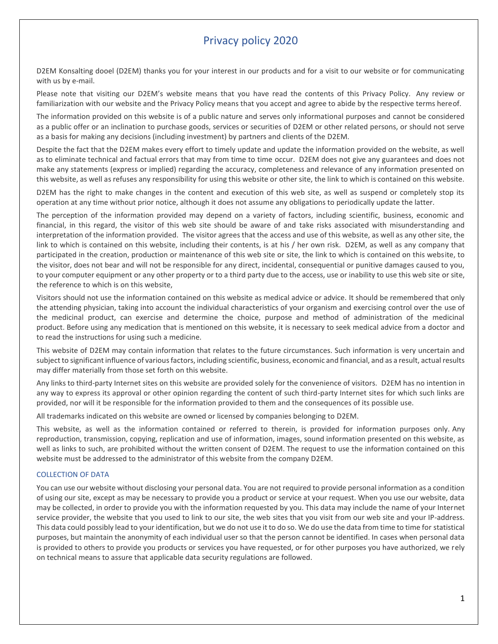# Privacy policy 2020

D2EM Konsalting dooel (D2EM) thanks you for your interest in our products and for a visit to our website or for communicating with us by e-mail.

Please note that visiting our D2EM's website means that you have read the contents of this Privacy Policy. Any review or familiarization with our website and the Privacy Policy means that you accept and agree to abide by the respective terms hereof.

The information provided on this website is of a public nature and serves only informational purposes and cannot be considered as a public offer or an inclination to purchase goods, services or securities of D2EM or other related persons, or should not serve as a basis for making any decisions (including investment) by partners and clients of the D2EM.

Despite the fact that the D2EM makes every effort to timely update and update the information provided on the website, as well as to eliminate technical and factual errors that may from time to time occur. D2EM does not give any guarantees and does not make any statements (express or implied) regarding the accuracy, completeness and relevance of any information presented on this website, as well as refuses any responsibility for using this website or other site, the link to which is contained on this website.

D2EM has the right to make changes in the content and execution of this web site, as well as suspend or completely stop its operation at any time without prior notice, although it does not assume any obligations to periodically update the latter.

The perception of the information provided may depend on a variety of factors, including scientific, business, economic and financial, in this regard, the visitor of this web site should be aware of and take risks associated with misunderstanding and interpretation of the information provided. The visitor agrees that the access and use of this website, as well as any other site, the link to which is contained on this website, including their contents, is at his / her own risk. D2EM, as well as any company that participated in the creation, production or maintenance of this web site or site, the link to which is contained on this website, to the visitor, does not bear and will not be responsible for any direct, incidental, consequential or punitive damages caused to you, to your computer equipment or any other property or to a third party due to the access, use or inability to use this web site or site, the reference to which is on this website,

Visitors should not use the information contained on this website as medical advice or advice. It should be remembered that only the attending physician, taking into account the individual characteristics of your organism and exercising control over the use of the medicinal product, can exercise and determine the choice, purpose and method of administration of the medicinal product. Before using any medication that is mentioned on this website, it is necessary to seek medical advice from a doctor and to read the instructions for using such a medicine.

This website of D2EM may contain information that relates to the future circumstances. Such information is very uncertain and subject to significant influence of various factors, including scientific, business, economic and financial, and as a result, actual results may differ materially from those set forth on this website.

Any links to third-party Internet sites on this website are provided solely for the convenience of visitors. D2EM has no intention in any way to express its approval or other opinion regarding the content of such third-party Internet sites for which such links are provided, nor will it be responsible for the information provided to them and the consequences of its possible use.

All trademarks indicated on this website are owned or licensed by companies belonging to D2EM.

This website, as well as the information contained or referred to therein, is provided for information purposes only. Any reproduction, transmission, copying, replication and use of information, images, sound information presented on this website, as well as links to such, are prohibited without the written consent of D2EM. The request to use the information contained on this website must be addressed to the administrator of this website from the company D2EM.

# COLLECTION OF DATA

You can use our website without disclosing your personal data. You are not required to provide personal information as a condition of using our site, except as may be necessary to provide you a product or service at your request. When you use our website, data may be collected, in order to provide you with the information requested by you. This data may include the name of your Internet service provider, the website that you used to link to our site, the web sites that you visit from our web site and your IP-address. This data could possibly lead to your identification, but we do not use it to do so. We do use the data from time to time for statistical purposes, but maintain the anonymity of each individual user so that the person cannot be identified. In cases when personal data is provided to others to provide you products or services you have requested, or for other purposes you have authorized, we rely on technical means to assure that applicable data security regulations are followed.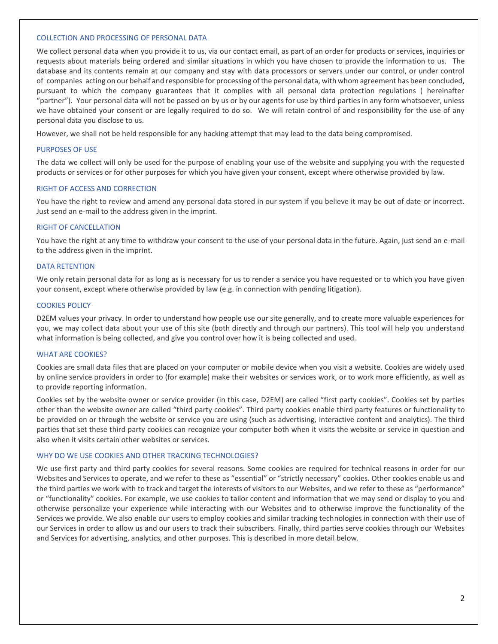## COLLECTION AND PROCESSING OF PERSONAL DATA

We collect personal data when you provide it to us, via our contact email, as part of an order for products or services, inquiries or requests about materials being ordered and similar situations in which you have chosen to provide the information to us. The database and its contents remain at our company and stay with data processors or servers under our control, or under control of companies acting on our behalf and responsible for processing of the personal data, with whom agreement has been concluded, pursuant to which the company guarantees that it complies with all personal data protection regulations ( hereinafter "partner"). Your personal data will not be passed on by us or by our agents for use by third parties in any form whatsoever, unless we have obtained your consent or are legally required to do so. We will retain control of and responsibility for the use of any personal data you disclose to us.

However, we shall not be held responsible for any hacking attempt that may lead to the data being compromised.

## PURPOSES OF USE

The data we collect will only be used for the purpose of enabling your use of the website and supplying you with the requested products or services or for other purposes for which you have given your consent, except where otherwise provided by law.

#### RIGHT OF ACCESS AND CORRECTION

You have the right to review and amend any personal data stored in our system if you believe it may be out of date or incorrect. Just send an e-mail to the address given in the imprint.

#### RIGHT OF CANCELLATION

You have the right at any time to withdraw your consent to the use of your personal data in the future. Again, just send an e-mail to the address given in the imprint.

#### DATA RETENTION

We only retain personal data for as long as is necessary for us to render a service you have requested or to which you have given your consent, except where otherwise provided by law (e.g. in connection with pending litigation).

#### COOKIES POLICY

D2EM values your privacy. In order to understand how people use our site generally, and to create more valuable experiences for you, we may collect data about your use of this site (both directly and through our partners). This tool will help you understand what information is being collected, and give you control over how it is being collected and used.

#### WHAT ARE COOKIES?

Cookies are small data files that are placed on your computer or mobile device when you visit a website. Cookies are widely used by online service providers in order to (for example) make their websites or services work, or to work more efficiently, as well as to provide reporting information.

Cookies set by the website owner or service provider (in this case, D2EM) are called "first party cookies". Cookies set by parties other than the website owner are called "third party cookies". Third party cookies enable third party features or functionality to be provided on or through the website or service you are using (such as advertising, interactive content and analytics). The third parties that set these third party cookies can recognize your computer both when it visits the website or service in question and also when it visits certain other websites or services.

# WHY DO WE USE COOKIES AND OTHER TRACKING TECHNOLOGIES?

We use first party and third party cookies for several reasons. Some cookies are required for technical reasons in order for our Websites and Services to operate, and we refer to these as "essential" or "strictly necessary" cookies. Other cookies enable us and the third parties we work with to track and target the interests of visitors to our Websites, and we refer to these as "performance" or "functionality" cookies. For example, we use cookies to tailor content and information that we may send or display to you and otherwise personalize your experience while interacting with our Websites and to otherwise improve the functionality of the Services we provide. We also enable our users to employ cookies and similar tracking technologies in connection with their use of our Services in order to allow us and our users to track their subscribers. Finally, third parties serve cookies through our Websites and Services for advertising, analytics, and other purposes. This is described in more detail below.